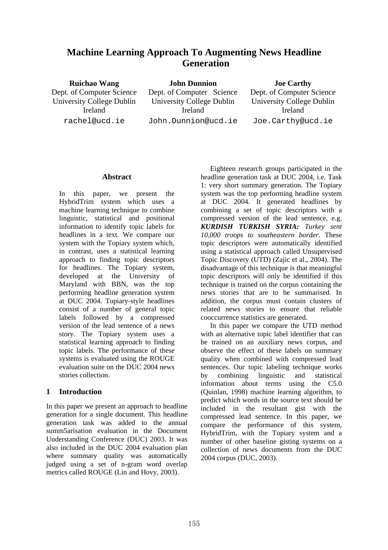# **Machine Learning Approach To Augmenting News Headline Generation**

**Ruichao Wang**  Dept. of Computer Science University College Dublin Ireland rachel@ucd.ie

**John Dunnion**  Dept. of Computer Science University College Dublin Ireland John.Dunnion@ucd.ie **Joe Carthy** 

Dept. of Computer Science University College Dublin Ireland Joe.Carthy@ucd.ie

### **Abstract**

In this paper, we present the HybridTrim system which uses a machine learning technique to combine linguistic, statistical and positional information to identify topic labels for headlines in a text. We compare our system with the Topiary system which, in contrast, uses a statistical learning approach to finding topic descriptors for headlines. The Topiary system, developed at the University of Maryland with BBN, was the top performing headline generation system at DUC 2004. Topiary-style headlines consist of a number of general topic labels followed by a compressed version of the lead sentence of a news story. The Topiary system uses a statistical learning approach to finding topic labels. The performance of these systems is evaluated using the ROUGE evaluation suite on the DUC 2004 news stories collection.

## **1 Introduction**

In this paper we present an approach to headline generation for a single document. This headline generation task was added to the annual summ5arisation evaluation in the Document Understanding Conference (DUC) 2003. It was also included in the DUC 2004 evaluation plan where summary quality was automatically judged using a set of n-gram word overlap metrics called ROUGE (Lin and Hovy, 2003).

Eighteen research groups participated in the headline generation task at DUC 2004, i.e. Task 1: very short summary generation. The Topiary system was the top performing headline system at DUC 2004. It generated headlines by combining a set of topic descriptors with a compressed version of the lead sentence, e.g. *KURDISH TURKISH SYRIA: Turkey sent 10,000 troops to southeastern border*. These topic descriptors were automatically identified using a statistical approach called Unsupervised Topic Discovery (UTD) (Zajic et al., 2004). The disadvantage of this technique is that meaningful topic descriptors will only be identified if this technique is trained on the corpus containing the news stories that are to be summarised. In addition, the corpus must contain clusters of related news stories to ensure that reliable cooccurrence statistics are generated.

In this paper we compare the UTD method with an alternative topic label identifier that can be trained on an auxiliary news corpus, and observe the effect of these labels on summary quality when combined with compressed lead sentences. Our topic labeling technique works by combining linguistic and statistical information about terms using the C5.0 (Quinlan, 1998) machine learning algorithm, to predict which words in the source text should be included in the resultant gist with the compressed lead sentence. In this paper, we compare the performance of this system, HybridTrim, with the Topiary system and a number of other baseline gisting systems on a collection of news documents from the DUC 2004 corpus (DUC, 2003).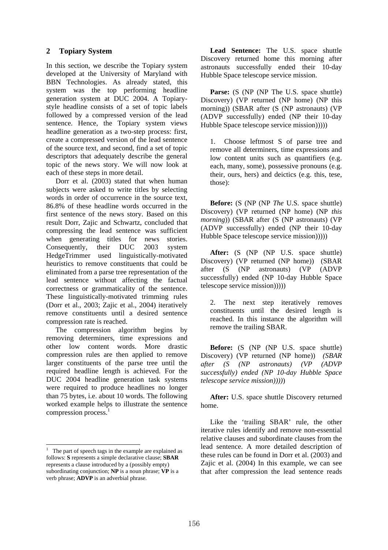### **2 Topiary System**

In this section, we describe the Topiary system developed at the University of Maryland with BBN Technologies. As already stated, this system was the top performing headline generation system at DUC 2004. A Topiarystyle headline consists of a set of topic labels followed by a compressed version of the lead sentence. Hence, the Topiary system views headline generation as a two-step process: first, create a compressed version of the lead sentence of the source text, and second, find a set of topic descriptors that adequately describe the general topic of the news story. We will now look at each of these steps in more detail.

Dorr et al. (2003) stated that when human subjects were asked to write titles by selecting words in order of occurrence in the source text, 86.8% of these headline words occurred in the first sentence of the news story. Based on this result Dorr, Zajic and Schwartz, concluded that compressing the lead sentence was sufficient when generating titles for news stories. Consequently, their DUC 2003 system HedgeTrimmer used linguistically-motivated heuristics to remove constituents that could be eliminated from a parse tree representation of the lead sentence without affecting the factual correctness or grammaticality of the sentence. These linguistically-motivated trimming rules (Dorr et al., 2003; Zajic et al., 2004) iteratively remove constituents until a desired sentence compression rate is reached.

The compression algorithm begins by removing determiners, time expressions and other low content words. More drastic compression rules are then applied to remove larger constituents of the parse tree until the required headline length is achieved. For the DUC 2004 headline generation task systems were required to produce headlines no longer than 75 bytes, i.e. about 10 words. The following worked example helps to illustrate the sentence compression process.<sup>1</sup>

 $\overline{a}$ 

**Lead Sentence:** The U.S. space shuttle Discovery returned home this morning after astronauts successfully ended their 10-day Hubble Space telescope service mission.

Parse: (S (NP (NP The U.S. space shuttle) Discovery) (VP returned (NP home) (NP this morning)) (SBAR after (S (NP astronauts) (VP (ADVP successfully) ended (NP their 10-day Hubble Space telescope service mission)))))

1. Choose leftmost S of parse tree and remove all determiners, time expressions and low content units such as quantifiers (e.g. each, many, some), possessive pronouns (e.g. their, ours, hers) and deictics (e.g. this, tese, those):

**Before:** (S (NP (NP *The* U.S. space shuttle) Discovery) (VP returned (NP home) (NP *this morning*)) (SBAR after (S (NP astronauts) (VP (ADVP successfully) ended (NP their 10-day Hubble Space telescope service mission)))))

After: (S (NP (NP U.S. space shuttle) Discovery) (VP returned (NP home)) (SBAR after (S (NP astronauts) (VP (ADVP successfully) ended (NP 10-day Hubble Space telescope service mission)))))

2. The next step iteratively removes constituents until the desired length is reached. In this instance the algorithm will remove the trailing SBAR.

**Before:** (S (NP (NP U.S. space shuttle) Discovery) (VP returned (NP home)) *(SBAR after (S (NP astronauts) (VP (ADVP successfully) ended (NP 10-day Hubble Space telescope service mission))))*)

**After:** U.S. space shuttle Discovery returned home.

Like the 'trailing SBAR' rule, the other iterative rules identify and remove non-essential relative clauses and subordinate clauses from the lead sentence. A more detailed description of these rules can be found in Dorr et al. (2003) and Zajic et al. (2004) In this example, we can see that after compression the lead sentence reads

 $<sup>1</sup>$  The part of speech tags in the example are explained as</sup> follows: **S** represents a simple declarative clause; **SBAR** represents a clause introduced by a (possibly empty) subordinating conjunction; **NP** is a noun phrase; **VP** is a verb phrase; **ADVP** is an adverbial phrase.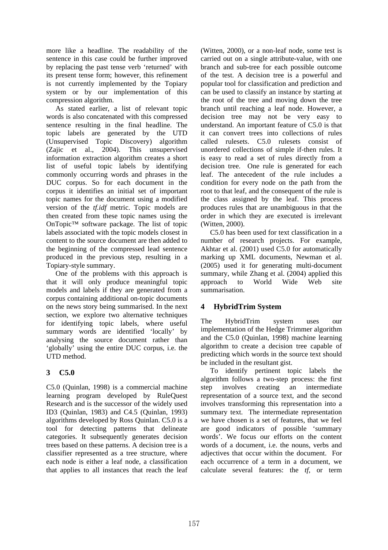more like a headline. The readability of the sentence in this case could be further improved by replacing the past tense verb 'returned' with its present tense form; however, this refinement is not currently implemented by the Topiary system or by our implementation of this compression algorithm.

As stated earlier, a list of relevant topic words is also concatenated with this compressed sentence resulting in the final headline. The topic labels are generated by the UTD (Unsupervised Topic Discovery) algorithm (Zajic et al., 2004). This unsupervised information extraction algorithm creates a short list of useful topic labels by identifying commonly occurring words and phrases in the DUC corpus. So for each document in the corpus it identifies an initial set of important topic names for the document using a modified version of the *tf.idf* metric. Topic models are then created from these topic names using the OnTopic™ software package. The list of topic labels associated with the topic models closest in content to the source document are then added to the beginning of the compressed lead sentence produced in the previous step, resulting in a Topiary-style summary.

One of the problems with this approach is that it will only produce meaningful topic models and labels if they are generated from a corpus containing additional on-topic documents on the news story being summarised. In the next section, we explore two alternative techniques for identifying topic labels, where useful summary words are identified 'locally' by analysing the source document rather than 'globally' using the entire DUC corpus, i.e. the UTD method.

## **3 C5.0**

C5.0 (Quinlan, 1998) is a commercial machine learning program developed by RuleQuest Research and is the successor of the widely used ID3 (Quinlan, 1983) and C4.5 (Quinlan, 1993) algorithms developed by Ross Quinlan. C5.0 is a tool for detecting patterns that delineate categories. It subsequently generates decision trees based on these patterns. A decision tree is a classifier represented as a tree structure, where each node is either a leaf node, a classification that applies to all instances that reach the leaf (Witten, 2000), or a non-leaf node, some test is carried out on a single attribute-value, with one branch and sub-tree for each possible outcome of the test. A decision tree is a powerful and popular tool for classification and prediction and can be used to classify an instance by starting at the root of the tree and moving down the tree branch until reaching a leaf node. However, a decision tree may not be very easy to understand. An important feature of C5.0 is that it can convert trees into collections of rules called rulesets. C5.0 rulesets consist of unordered collections of simple if-then rules. It is easy to read a set of rules directly from a decision tree. One rule is generated for each leaf. The antecedent of the rule includes a condition for every node on the path from the root to that leaf, and the consequent of the rule is the class assigned by the leaf. This process produces rules that are unambiguous in that the order in which they are executed is irrelevant (Witten, 2000).

C5.0 has been used for text classification in a number of research projects. For example, Akhtar et al. (2001) used C5.0 for automatically marking up XML documents, Newman et al. (2005) used it for generating multi-document summary, while Zhang et al. (2004) applied this approach to World Wide Web site summarisation.

## **4 HybridTrim System**

The HybridTrim system uses our implementation of the Hedge Trimmer algorithm and the C5.0 (Quinlan, 1998) machine learning algorithm to create a decision tree capable of predicting which words in the source text should be included in the resultant gist.

To identify pertinent topic labels the algorithm follows a two-step process: the first step involves creating an intermediate representation of a source text, and the second involves transforming this representation into a summary text. The intermediate representation we have chosen is a set of features, that we feel are good indicators of possible 'summary words'. We focus our efforts on the content words of a document, i.e. the nouns, verbs and adjectives that occur within the document. For each occurrence of a term in a document, we calculate several features: the *tf*, or term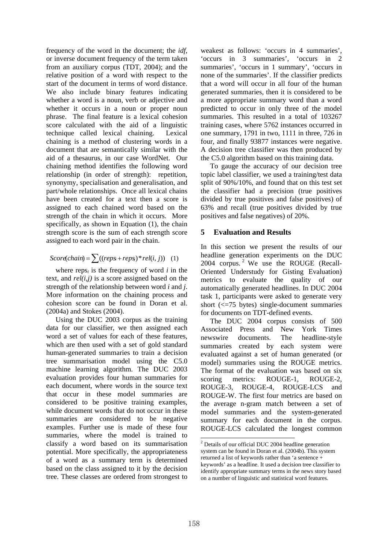frequency of the word in the document; the *idf*, or inverse document frequency of the term taken from an auxiliary corpus (TDT, 2004); and the relative position of a word with respect to the start of the document in terms of word distance. We also include binary features indicating whether a word is a noun, verb or adjective and whether it occurs in a noun or proper noun phrase. The final feature is a lexical cohesion score calculated with the aid of a linguistic technique called lexical chaining. Lexical chaining is a method of clustering words in a document that are semantically similar with the aid of a thesaurus, in our case WordNet. Our chaining method identifies the following word relationship (in order of strength): repetition, synonymy, specialisation and generalisation, and part/whole relationships. Once all lexical chains have been created for a text then a score is assigned to each chained word based on the strength of the chain in which it occurs. More specifically, as shown in Equation (1), the chain strength score is the sum of each strength score assigned to each word pair in the chain.

$$
Scorechain) = \sum ((reps + reps) * rel(i, j))
$$
 (1)

where  $res_i$  is the frequency of word  $i$  in the text, and *rel(i,j)* is a score assigned based on the strength of the relationship between word *i* and *j*. More information on the chaining process and cohesion score can be found in Doran et al. (2004a) and Stokes (2004).

Using the DUC 2003 corpus as the training data for our classifier, we then assigned each word a set of values for each of these features, which are then used with a set of gold standard human-generated summaries to train a decision tree summarisation model using the C5.0 machine learning algorithm. The DUC 2003 evaluation provides four human summaries for each document, where words in the source text that occur in these model summaries are considered to be positive training examples, while document words that do not occur in these summaries are considered to be negative examples. Further use is made of these four summaries, where the model is trained to classify a word based on its summarisation potential. More specifically, the appropriateness of a word as a summary term is determined based on the class assigned to it by the decision tree. These classes are ordered from strongest to

weakest as follows: 'occurs in 4 summaries', 'occurs in 3 summaries', 'occurs in 2 summaries', 'occurs in 1 summary', 'occurs in none of the summaries'. If the classifier predicts that a word will occur in all four of the human generated summaries, then it is considered to be a more appropriate summary word than a word predicted to occur in only three of the model summaries. This resulted in a total of 103267 training cases, where 5762 instances occurred in one summary, 1791 in two, 1111 in three, 726 in four, and finally 93877 instances were negative. A decision tree classifier was then produced by the C5.0 algorithm based on this training data.

To gauge the accuracy of our decision tree topic label classifier, we used a training/test data split of 90%/10%, and found that on this test set the classifier had a precision (true positives divided by true positives and false positives) of 63% and recall (true positives divided by true positives and false negatives) of 20%.

### **5 Evaluation and Results**

In this section we present the results of our headline generation experiments on the DUC 2004 corpus.<sup>2</sup> We use the ROUGE (Recall-Oriented Understudy for Gisting Evaluation) metrics to evaluate the quality of our automatically generated headlines. In DUC 2004 task 1, participants were asked to generate very short (<=75 bytes) single-document summaries for documents on TDT-defined events.

The DUC 2004 corpus consists of 500 Associated Press and New York Times newswire documents. The headline-style summaries created by each system were evaluated against a set of human generated (or model) summaries using the ROUGE metrics. The format of the evaluation was based on six scoring metrics: ROUGE-1, ROUGE-2, ROUGE-3, ROUGE-4, ROUGE-LCS and ROUGE-W. The first four metrics are based on the average n-gram match between a set of model summaries and the system-generated summary for each document in the corpus. ROUGE-LCS calculated the longest common

 2 Details of our official DUC 2004 headline generation system can be found in Doran et al. (2004b). This system returned a list of keywords rather than 'a sentence + keywords' as a headline. It used a decision tree classifier to identify appropriate summary terms in the news story based on a number of linguistic and statistical word features.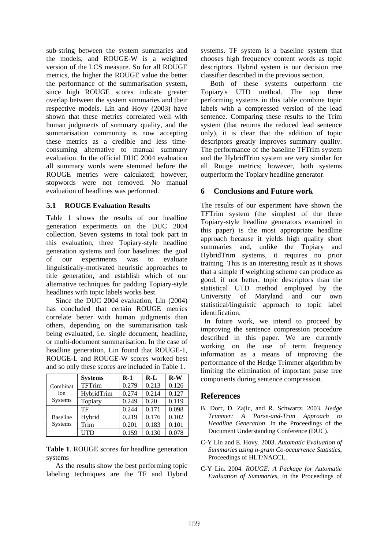sub-string between the system summaries and the models, and ROUGE-W is a weighted version of the LCS measure. So for all ROUGE metrics, the higher the ROUGE value the better the performance of the summarisation system, since high ROUGE scores indicate greater overlap between the system summaries and their respective models. Lin and Hovy (2003) have shown that these metrics correlated well with human judgments of summary quality, and the summarisation community is now accepting these metrics as a credible and less timeconsuming alternative to manual summary evaluation. In the official DUC 2004 evaluation all summary words were stemmed before the ROUGE metrics were calculated; however, stopwords were not removed. No manual evaluation of headlines was performed.

### **5.1 ROUGE Evaluation Results**

Table 1 shows the results of our headline generation experiments on the DUC 2004 collection. Seven systems in total took part in this evaluation, three Topiary-style headline generation systems and four baselines: the goal of our experiments was to evaluate linguistically-motivated heuristic approaches to title generation, and establish which of our alternative techniques for padding Topiary-style headlines with topic labels works best.

Since the DUC 2004 evaluation, Lin (2004) has concluded that certain ROUGE metrics correlate better with human judgments than others, depending on the summarisation task being evaluated, i.e. single document, headline, or multi-document summarisation. In the case of headline generation, Lin found that ROUGE-1, ROUGE-L and ROUGE-W scores worked best and so only these scores are included in Table 1.

|                            | <b>Systems</b> | $R-1$ | $R-L$ | $R-W$ |
|----------------------------|----------------|-------|-------|-------|
| Combinat<br>ion<br>Systems | TFTrim         | 0.279 | 0.213 | 0.126 |
|                            | HybridTrim     | 0.274 | 0.214 | 0.127 |
|                            | Topiary        | 0.249 | 0.20  | 0.119 |
| <b>Baseline</b><br>Systems | TF             | 0.244 | 0.171 | 0.098 |
|                            | Hybrid         | 0.219 | 0.176 | 0.102 |
|                            | Trim           | 0.201 | 0.183 | 0.101 |
|                            | <b>UTD</b>     | 0.159 | 0.130 | 0.078 |

**Table 1**. ROUGE scores for headline generation systems

As the results show the best performing topic labeling techniques are the TF and Hybrid systems. TF system is a baseline system that chooses high frequency content words as topic descriptors. Hybrid system is our decision tree classifier described in the previous section.

Both of these systems outperform the Topiary's UTD method. The top three performing systems in this table combine topic labels with a compressed version of the lead sentence. Comparing these results to the Trim system (that returns the reduced lead sentence only), it is clear that the addition of topic descriptors greatly improves summary quality. The performance of the baseline TFTrim system and the HybridTrim system are very similar for all Rouge metrics; however, both systems outperform the Topiary headline generator.

### **6 Conclusions and Future work**

The results of our experiment have shown the TFTrim system (the simplest of the three Topiary-style headline generators examined in this paper) is the most appropriate headline approach because it yields high quality short summaries and, unlike the Topiary and HybridTrim systems, it requires no prior training. This is an interesting result as it shows that a simple tf weighting scheme can produce as good, if not better, topic descriptors than the statistical UTD method employed by the University of Maryland and our own statistical/linguistic approach to topic label identification.

 In future work, we intend to proceed by improving the sentence compression procedure described in this paper. We are currently working on the use of term frequency information as a means of improving the performance of the Hedge Trimmer algorithm by limiting the elimination of important parse tree components during sentence compression.

### **References**

- B. Dorr, D. Zajic, and R. Schwartz. 2003. *Hedge Trimmer: A Parse-and-Trim Approach to Headline Generation*. In the Proceedings of the Document Understanding Conference (DUC).
- C-Y Lin and E. Hovy. 2003. *Automatic Evaluation of Summaries using n-gram Co-occurrence Statistics*, Proceedings of HLT/NACCL.
- C-Y Lin. 2004. *ROUGE: A Package for Automatic Evaluation of Summaries*, In the Proceedings of